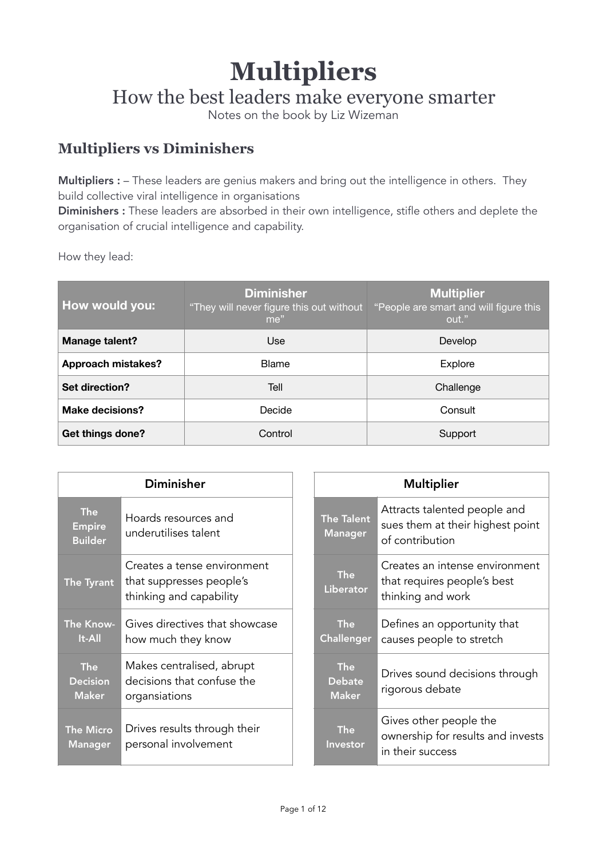# **Multipliers**

How the best leaders make everyone smarter

Notes on the book by Liz Wizeman

# **Multipliers vs Diminishers**

Multipliers : – These leaders are genius makers and bring out the intelligence in others. They build collective viral intelligence in organisations

Diminishers : These leaders are absorbed in their own intelligence, stifle others and deplete the organisation of crucial intelligence and capability.

How they lead:

| How would you:            | <b>Diminisher</b><br>"They will never figure this out without<br>me" | <b>Multiplier</b><br>"People are smart and will figure this<br>out." |  |
|---------------------------|----------------------------------------------------------------------|----------------------------------------------------------------------|--|
| Manage talent?            | Use                                                                  | Develop                                                              |  |
| <b>Approach mistakes?</b> | <b>Blame</b>                                                         | Explore                                                              |  |
| Set direction?            | Tell                                                                 | Challenge                                                            |  |
| <b>Make decisions?</b>    | Decide                                                               | Consult                                                              |  |
| Get things done?          | Control                                                              | Support                                                              |  |

| <b>Diminisher</b>                             |                                                                                    |                                             | <b>Multiplier</b>                                                                   |
|-----------------------------------------------|------------------------------------------------------------------------------------|---------------------------------------------|-------------------------------------------------------------------------------------|
| <b>The</b><br><b>Empire</b><br><b>Builder</b> | Hoards resources and<br>underutilises talent                                       | <b>The Talent</b><br><b>Manager</b>         | Attracts talented people and<br>sues them at their highest point<br>of contribution |
| The Tyrant                                    | Creates a tense environment<br>that suppresses people's<br>thinking and capability | <b>The</b><br>Liberator                     | Creates an intense environment<br>that requires people's best<br>thinking and work  |
| The Know-<br><b>It-All</b>                    | Gives directives that showcase<br>how much they know                               | <b>The</b><br>Challenger                    | Defines an opportunity that<br>causes people to stretch                             |
| <b>The</b><br><b>Decision</b><br><b>Maker</b> | Makes centralised, abrupt<br>decisions that confuse the<br>organsiations           | <b>The</b><br><b>Debate</b><br><b>Maker</b> | Drives sound decisions through<br>rigorous debate                                   |
| <b>The Micro</b><br><b>Manager</b>            | Drives results through their<br>personal involvement                               | <b>The</b><br><b>Investor</b>               | Gives other people the<br>ownership for results and invests<br>in their success     |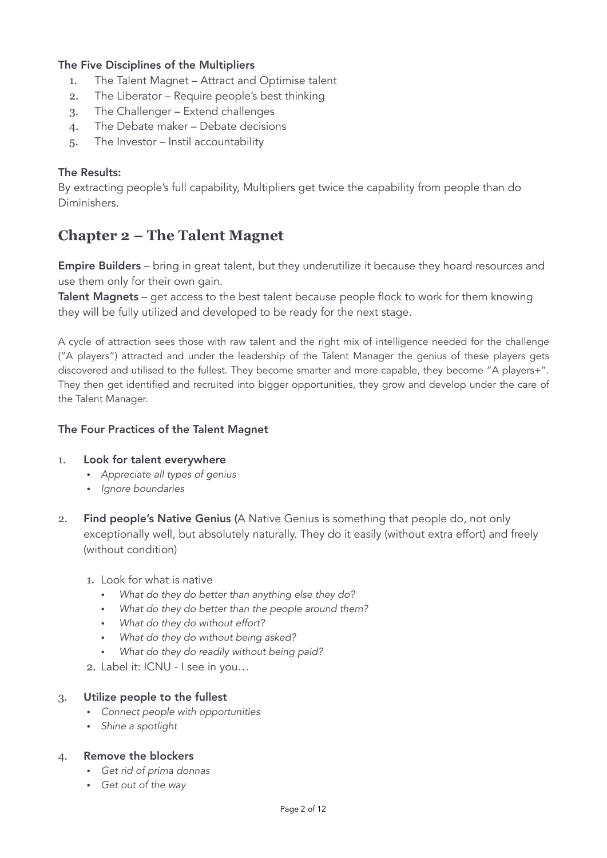# The Five Disciplines of the Multipliers

- 1. The Talent Magnet Attract and Optimise talent
- 2. The Liberator Require people's best thinking
- 3. The Challenger Extend challenges
- 4. The Debate maker Debate decisions
- 5. The Investor Instil accountability

# The Results:

By extracting people's full capability, Multipliers get twice the capability from people than do Diminishers.

# **Chapter 2 – The Talent Magnet**

**Empire Builders** – bring in great talent, but they underutilize it because they hoard resources and use them only for their own gain.

Talent Magnets – get access to the best talent because people flock to work for them knowing they will be fully utilized and developed to be ready for the next stage.

A cycle of attraction sees those with raw talent and the right mix of intelligence needed for the challenge ("A players") attracted and under the leadership of the Talent Manager the genius of these players gets discovered and utilised to the fullest. They become smarter and more capable, they become "A players+". They then get identified and recruited into bigger opportunities, they grow and develop under the care of the Talent Manager.

## The Four Practices of the Talent Magnet

#### 1. Look for talent everywhere

- *Appreciate all types of genius*
- *Ignore boundaries*
- 2. Find people's Native Genius (A Native Genius is something that people do, not only exceptionally well, but absolutely naturally. They do it easily (without extra effort) and freely (without condition)
	- 1. Look for what is native
		- *What do they do better than anything else they do?*
		- *What do they do better than the people around them?*
		- *What do they do without effort?*
		- *What do they do without being asked?*
		- *What do they do readily without being paid?*
	- 2. Label it: ICNU I see in you…

#### 3. Utilize people to the fullest

- *Connect people with opportunities*
- *Shine a spotlight*
- 4. Remove the blockers
	- *Get rid of prima donnas*
	- *Get out of the way*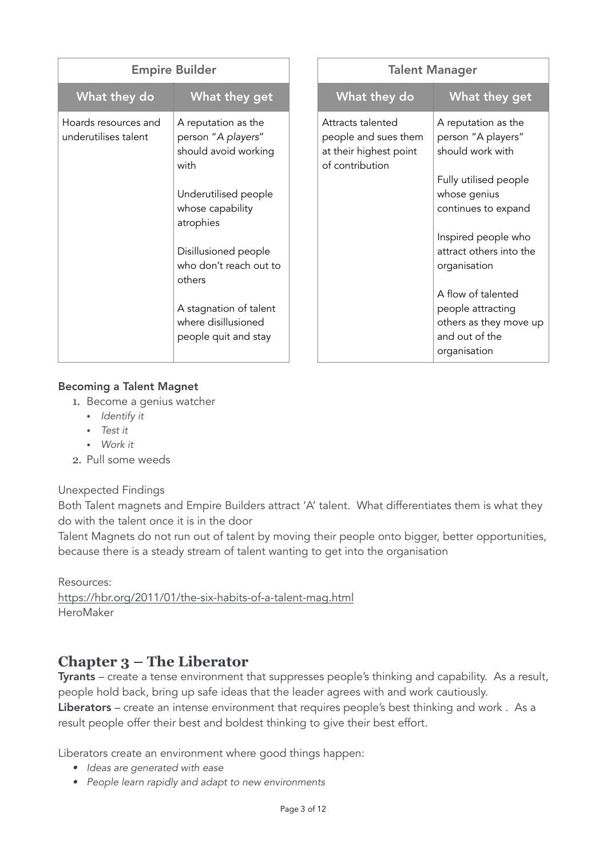| <b>Empire Builder</b>                        |                                                                                                                                                                                                                                                                         |                                                                                        | <b>Talent Manager</b>                                                                                                                                                                                                                                                                                  |
|----------------------------------------------|-------------------------------------------------------------------------------------------------------------------------------------------------------------------------------------------------------------------------------------------------------------------------|----------------------------------------------------------------------------------------|--------------------------------------------------------------------------------------------------------------------------------------------------------------------------------------------------------------------------------------------------------------------------------------------------------|
| What they do                                 | What they get                                                                                                                                                                                                                                                           | What they do                                                                           | What they get                                                                                                                                                                                                                                                                                          |
| Hoards resources and<br>underutilises talent | A reputation as the<br>person "A players"<br>should avoid working<br>with<br>Underutilised people<br>whose capability<br>atrophies<br>Disillusioned people<br>who don't reach out to<br>others<br>A stagnation of talent<br>where disillusioned<br>people quit and stay | Attracts talented<br>people and sues them<br>at their highest point<br>of contribution | A reputation as the<br>person "A players"<br>should work with<br>Fully utilised people<br>whose genius<br>continues to expand<br>Inspired people who<br>attract others into the<br>organisation<br>A flow of talented<br>people attracting<br>others as they move up<br>and out of the<br>organisation |

# Becoming a Talent Magnet

- 1. Become a genius watcher
	- *Identify it*
	- *Test it*
	- *Work it*
- 2. Pull some weeds

# Unexpected Findings

Both Talent magnets and Empire Builders attract 'A' talent. What differentiates them is what they do with the talent once it is in the door

Talent Magnets do not run out of talent by moving their people onto bigger, better opportunities, because there is a steady stream of talent wanting to get into the organisation

Resources: <https://hbr.org/2011/01/the-six-habits-of-a-talent-mag.html> HeroMaker

# **Chapter 3 – The Liberator**

Tyrants – create a tense environment that suppresses people's thinking and capability. As a result, people hold back, bring up safe ideas that the leader agrees with and work cautiously.

Liberators – create an intense environment that requires people's best thinking and work. As a result people offer their best and boldest thinking to give their best effort.

Liberators create an environment where good things happen:

- *• Ideas are generated with ease*
- *• People learn rapidly and adapt to new environments*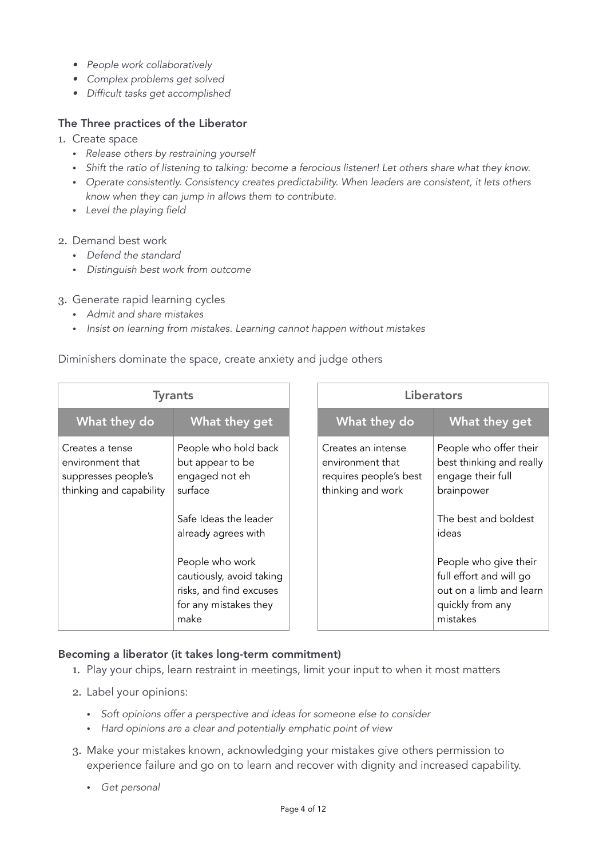- *• People work collaboratively*
- *• Complex problems get solved*
- *• Difficult tasks get accomplished*

## The Three practices of the Liberator

- 1. Create space
	- *Release others by restraining yourself*
	- *Shift the ratio of listening to talking: become a ferocious listener! Let others share what they know.*
	- *Operate consistently. Consistency creates predictability. When leaders are consistent, it lets others know when they can jump in allows them to contribute.*
	- *Level the playing field*
- 2. Demand best work
	- *Defend the standard*
	- *Distinguish best work from outcome*

#### 3. Generate rapid learning cycles

- *Admit and share mistakes*
- *Insist on learning from mistakes. Learning cannot happen without mistakes*

#### Diminishers dominate the space, create anxiety and judge others

| <b>Tyrants</b>                                                                        |                                                                                                                                                                                                                                  |                                                                                       | <b>Liberators</b>                                                                                                                                                                                                                     |
|---------------------------------------------------------------------------------------|----------------------------------------------------------------------------------------------------------------------------------------------------------------------------------------------------------------------------------|---------------------------------------------------------------------------------------|---------------------------------------------------------------------------------------------------------------------------------------------------------------------------------------------------------------------------------------|
| What they do                                                                          | What they get                                                                                                                                                                                                                    | What they do                                                                          | What they get                                                                                                                                                                                                                         |
| Creates a tense<br>environment that<br>suppresses people's<br>thinking and capability | People who hold back<br>but appear to be<br>engaged not eh<br>surface<br>Safe Ideas the leader<br>already agrees with<br>People who work<br>cautiously, avoid taking<br>risks, and find excuses<br>for any mistakes they<br>make | Creates an intense<br>environment that<br>requires people's best<br>thinking and work | People who offer their<br>best thinking and really<br>engage their full<br>brainpower<br>The best and boldest<br>ideas<br>People who give their<br>full effort and will go<br>out on a limb and learn<br>quickly from any<br>mistakes |

#### Becoming a liberator (it takes long-term commitment)

- 1. Play your chips, learn restraint in meetings, limit your input to when it most matters
- 2. Label your opinions:
	- *Soft opinions offer a perspective and ideas for someone else to consider*
	- *Hard opinions are a clear and potentially emphatic point of view*
- 3. Make your mistakes known, acknowledging your mistakes give others permission to experience failure and go on to learn and recover with dignity and increased capability.
	- *Get personal*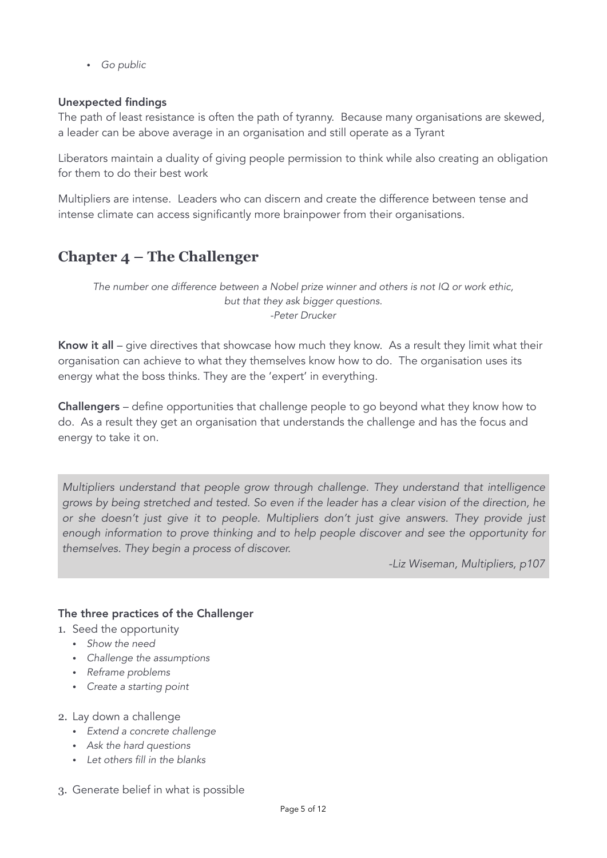• *Go public* 

# Unexpected findings

The path of least resistance is often the path of tyranny. Because many organisations are skewed, a leader can be above average in an organisation and still operate as a Tyrant

Liberators maintain a duality of giving people permission to think while also creating an obligation for them to do their best work

Multipliers are intense. Leaders who can discern and create the difference between tense and intense climate can access significantly more brainpower from their organisations.

# **Chapter 4 – The Challenger**

*The number one difference between a Nobel prize winner and others is not IQ or work ethic, but that they ask bigger questions. -Peter Drucker* 

Know it all – give directives that showcase how much they know. As a result they limit what their organisation can achieve to what they themselves know how to do. The organisation uses its energy what the boss thinks. They are the 'expert' in everything.

Challengers – define opportunities that challenge people to go beyond what they know how to do. As a result they get an organisation that understands the challenge and has the focus and energy to take it on.

*Multipliers understand that people grow through challenge. They understand that intelligence grows by being stretched and tested. So even if the leader has a clear vision of the direction, he or she doesn't just give it to people. Multipliers don't just give answers. They provide just enough information to prove thinking and to help people discover and see the opportunity for themselves. They begin a process of discover.* 

*-Liz Wiseman, Multipliers, p107*

# The three practices of the Challenger

- 1. Seed the opportunity
	- *Show the need*
	- *Challenge the assumptions*
	- *Reframe problems*
	- *Create a starting point*
- 2. Lay down a challenge
	- *Extend a concrete challenge*
	- *Ask the hard questions*
	- *Let others fill in the blanks*
- 3. Generate belief in what is possible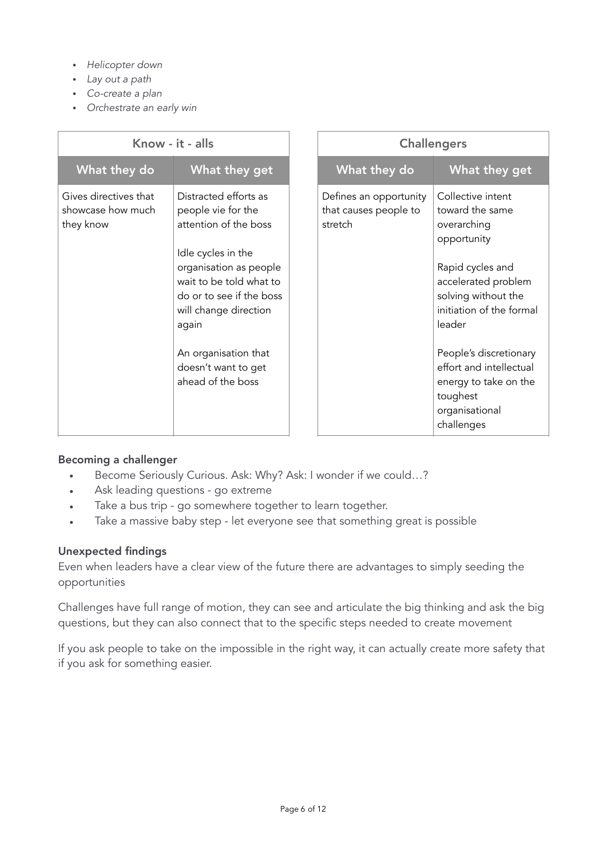- *Helicopter down*
- *Lay out a path*
- *Co-create a plan*
- *Orchestrate an early win*

| Know - it - alls                                        |                                                                                                                                                                                                                                                                                   |                                                            | <b>Challengers</b>                                                                                                                                                                                                                                                                                   |
|---------------------------------------------------------|-----------------------------------------------------------------------------------------------------------------------------------------------------------------------------------------------------------------------------------------------------------------------------------|------------------------------------------------------------|------------------------------------------------------------------------------------------------------------------------------------------------------------------------------------------------------------------------------------------------------------------------------------------------------|
| What they do                                            | What they get                                                                                                                                                                                                                                                                     | What they do                                               | What they get                                                                                                                                                                                                                                                                                        |
| Gives directives that<br>showcase how much<br>they know | Distracted efforts as<br>people vie for the<br>attention of the boss<br>Idle cycles in the<br>organisation as people<br>wait to be told what to<br>do or to see if the boss<br>will change direction<br>again<br>An organisation that<br>doesn't want to get<br>ahead of the boss | Defines an opportunity<br>that causes people to<br>stretch | Collective intent<br>toward the same<br>overarching<br>opportunity<br>Rapid cycles and<br>accelerated problem<br>solving without the<br>initiation of the formal<br>leader<br>People's discretionary<br>effort and intellectual<br>energy to take on the<br>toughest<br>organisational<br>challenges |

#### Becoming a challenger

- Become Seriously Curious. Ask: Why? Ask: I wonder if we could…?
- Ask leading questions go extreme
- Take a bus trip go somewhere together to learn together.
- Take a massive baby step let everyone see that something great is possible

#### Unexpected findings

Even when leaders have a clear view of the future there are advantages to simply seeding the opportunities

Challenges have full range of motion, they can see and articulate the big thinking and ask the big questions, but they can also connect that to the specific steps needed to create movement

If you ask people to take on the impossible in the right way, it can actually create more safety that if you ask for something easier.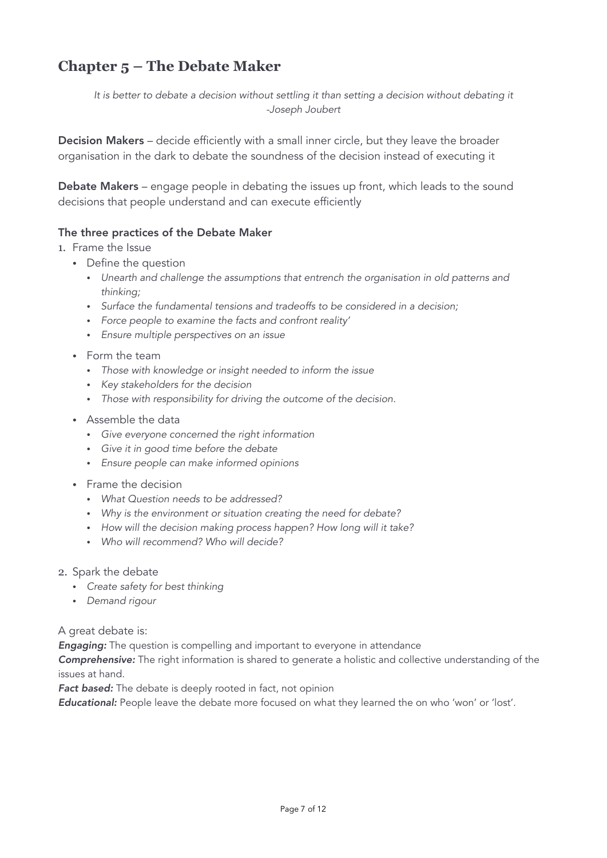# **Chapter 5 – The Debate Maker**

It is better to debate a decision without settling it than setting a decision without debating it *-Joseph Joubert* 

Decision Makers – decide efficiently with a small inner circle, but they leave the broader organisation in the dark to debate the soundness of the decision instead of executing it

Debate Makers – engage people in debating the issues up front, which leads to the sound decisions that people understand and can execute efficiently

## The three practices of the Debate Maker

#### 1. Frame the Issue

- Define the question
	- *Unearth and challenge the assumptions that entrench the organisation in old patterns and thinking;*
	- *Surface the fundamental tensions and tradeoffs to be considered in a decision;*
	- *Force people to examine the facts and confront reality'*
	- *Ensure multiple perspectives on an issue*
- Form the team
	- *Those with knowledge or insight needed to inform the issue*
	- *Key stakeholders for the decision*
	- *Those with responsibility for driving the outcome of the decision.*
- Assemble the data
	- *Give everyone concerned the right information*
	- *Give it in good time before the debate*
	- *Ensure people can make informed opinions*
- Frame the decision
	- *What Question needs to be addressed?*
	- *Why is the environment or situation creating the need for debate?*
	- *How will the decision making process happen? How long will it take?*
	- *Who will recommend? Who will decide?*
- 2. Spark the debate
	- *Create safety for best thinking*
	- *Demand rigour*

#### A great debate is:

*Engaging:* The question is compelling and important to everyone in attendance

*Comprehensive:* The right information is shared to generate a holistic and collective understanding of the issues at hand.

Fact based: The debate is deeply rooted in fact, not opinion

Educational: People leave the debate more focused on what they learned the on who 'won' or 'lost'.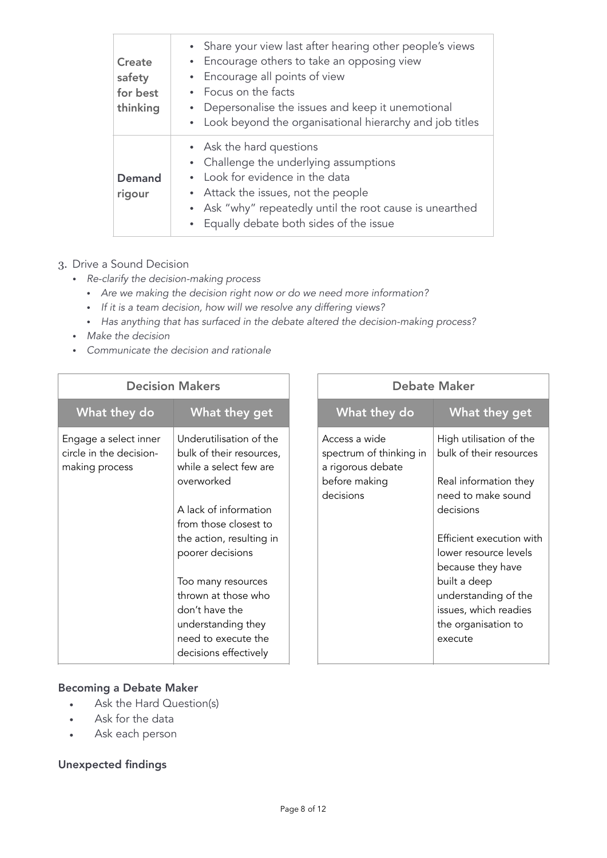| Create<br>safety<br>for best<br>thinking | • Share your view last after hearing other people's views<br>• Encourage others to take an opposing view<br>• Encourage all points of view<br>• Focus on the facts<br>• Depersonalise the issues and keep it unemotional<br>• Look beyond the organisational hierarchy and job titles |
|------------------------------------------|---------------------------------------------------------------------------------------------------------------------------------------------------------------------------------------------------------------------------------------------------------------------------------------|
| Demand<br>rigour                         | • Ask the hard questions<br>• Challenge the underlying assumptions<br>• Look for evidence in the data<br>• Attack the issues, not the people<br>• Ask "why" repeatedly until the root cause is unearthed<br>• Equally debate both sides of the issue                                  |

## 3. Drive a Sound Decision

- *Re-clarify the decision-making process* 
	- *Are we making the decision right now or do we need more information?*
	- *If it is a team decision, how will we resolve any differing views?*
	- *Has anything that has surfaced in the debate altered the decision-making process?*

- *Make the decision*
- *Communicate the decision and rationale*

| <b>Decision Makers</b>                                             |                                                                               |  |                                                               | <b>Debate Maker</b>                                |
|--------------------------------------------------------------------|-------------------------------------------------------------------------------|--|---------------------------------------------------------------|----------------------------------------------------|
| What they do                                                       | What they get                                                                 |  | What they do                                                  | What they get                                      |
| Engage a select inner<br>circle in the decision-<br>making process | Underutilisation of the<br>bulk of their resources,<br>while a select few are |  | Access a wide<br>spectrum of thinking in<br>a rigorous debate | High utilisation of the<br>bulk of their resources |
|                                                                    | overworked                                                                    |  | before making<br>decisions                                    | Real information they<br>need to make sound        |
|                                                                    | A lack of information                                                         |  |                                                               | decisions                                          |
|                                                                    | from those closest to                                                         |  |                                                               |                                                    |
|                                                                    | the action, resulting in                                                      |  |                                                               | Efficient execution with                           |
|                                                                    | poorer decisions                                                              |  |                                                               | lower resource levels                              |
|                                                                    |                                                                               |  |                                                               | because they have                                  |
|                                                                    | Too many resources                                                            |  |                                                               | built a deep                                       |
|                                                                    | thrown at those who                                                           |  |                                                               | understanding of the                               |
|                                                                    | don't have the                                                                |  |                                                               | issues, which readies                              |
|                                                                    | understanding they                                                            |  |                                                               | the organisation to                                |
|                                                                    | need to execute the                                                           |  |                                                               | execute                                            |
|                                                                    | decisions effectively                                                         |  |                                                               |                                                    |

# Becoming a Debate Maker

- Ask the Hard Question(s)
- Ask for the data
- Ask each person

# Unexpected findings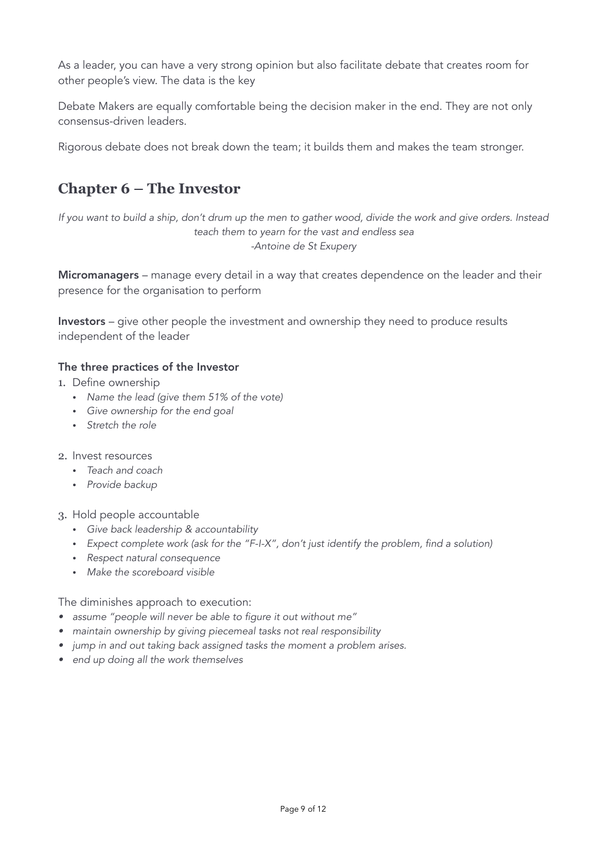As a leader, you can have a very strong opinion but also facilitate debate that creates room for other people's view. The data is the key

Debate Makers are equally comfortable being the decision maker in the end. They are not only consensus-driven leaders.

Rigorous debate does not break down the team; it builds them and makes the team stronger.

# **Chapter 6 – The Investor**

*If you want to build a ship, don't drum up the men to gather wood, divide the work and give orders. Instead teach them to yearn for the vast and endless sea -Antoine de St Exupery* 

Micromanagers – manage every detail in a way that creates dependence on the leader and their presence for the organisation to perform

Investors – give other people the investment and ownership they need to produce results independent of the leader

## The three practices of the Investor

- 1. Define ownership
	- *Name the lead (give them 51% of the vote)*
	- *Give ownership for the end goal*
	- *Stretch the role*
- 2. Invest resources
	- *Teach and coach*
	- *Provide backup*
- 3. Hold people accountable
	- *Give back leadership & accountability*
	- *Expect complete work (ask for the "F-I-X", don't just identify the problem, find a solution)*
	- *Respect natural consequence*
	- *Make the scoreboard visible*

The diminishes approach to execution:

- *• assume "people will never be able to figure it out without me"*
- *• maintain ownership by giving piecemeal tasks not real responsibility*
- *• jump in and out taking back assigned tasks the moment a problem arises.*
- *• end up doing all the work themselves*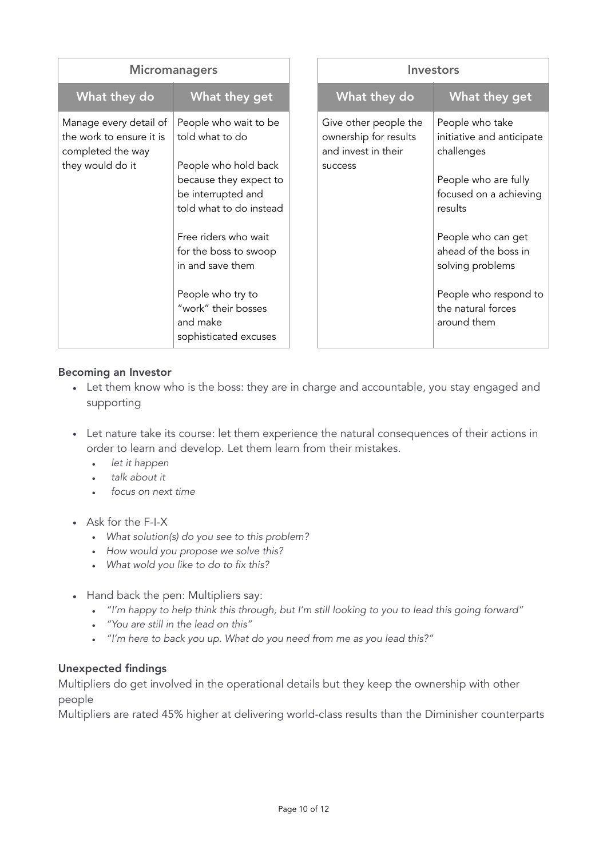| <b>Micromanagers</b>                                                                        |                                                                                                                                                                                                                                                                                                   |                                                                                  | <b>Investors</b>                                                                                                                                                                                                                                        |
|---------------------------------------------------------------------------------------------|---------------------------------------------------------------------------------------------------------------------------------------------------------------------------------------------------------------------------------------------------------------------------------------------------|----------------------------------------------------------------------------------|---------------------------------------------------------------------------------------------------------------------------------------------------------------------------------------------------------------------------------------------------------|
| What they do                                                                                | What they get                                                                                                                                                                                                                                                                                     | What they do                                                                     | What they get                                                                                                                                                                                                                                           |
| Manage every detail of<br>the work to ensure it is<br>completed the way<br>they would do it | People who wait to be<br>told what to do<br>People who hold back<br>because they expect to<br>be interrupted and<br>told what to do instead<br>Free riders who wait<br>for the boss to swoop<br>in and save them<br>People who try to<br>"work" their bosses<br>and make<br>sophisticated excuses | Give other people the<br>ownership for results<br>and invest in their<br>success | People who take<br>initiative and anticipate<br>challenges<br>People who are fully<br>focused on a achieving<br>results<br>People who can get<br>ahead of the boss in<br>solving problems<br>People who respond to<br>the natural forces<br>around them |

## Becoming an Investor

- Let them know who is the boss: they are in charge and accountable, you stay engaged and supporting
- Let nature take its course: let them experience the natural consequences of their actions in order to learn and develop. Let them learn from their mistakes.
	- *let it happen*
	- *talk about it*
	- *focus on next time*
- Ask for the F-I-X
	- *What solution(s) do you see to this problem?*
	- *How would you propose we solve this?*
	- *What wold you like to do to fix this?*
- Hand back the pen: Multipliers say:
	- *"I'm happy to help think this through, but I'm still looking to you to lead this going forward"*
	- *"You are still in the lead on this"*
	- *"I'm here to back you up. What do you need from me as you lead this?"*

#### Unexpected findings

Multipliers do get involved in the operational details but they keep the ownership with other people

Multipliers are rated 45% higher at delivering world-class results than the Diminisher counterparts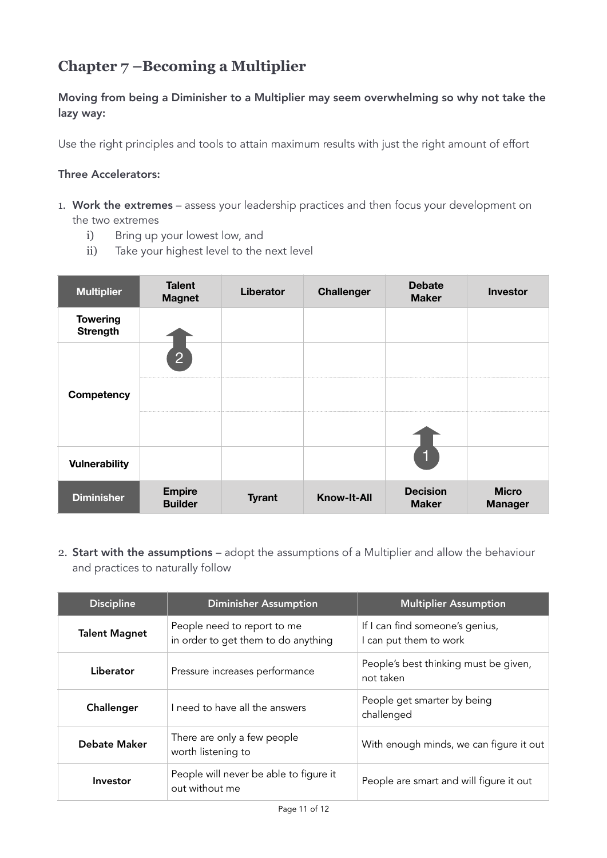# **Chapter 7 –Becoming a Multiplier**

Moving from being a Diminisher to a Multiplier may seem overwhelming so why not take the lazy way:

Use the right principles and tools to attain maximum results with just the right amount of effort

# Three Accelerators:

- 1. Work the extremes assess your leadership practices and then focus your development on the two extremes
	- i) Bring up your lowest low, and
	- ii) Take your highest level to the next level

| <b>Multiplier</b>                  | <b>Talent</b><br><b>Magnet</b>  | Liberator     | <b>Challenger</b>  | <b>Debate</b><br><b>Maker</b>   | <b>Investor</b>                |
|------------------------------------|---------------------------------|---------------|--------------------|---------------------------------|--------------------------------|
| <b>Towering</b><br><b>Strength</b> |                                 |               |                    |                                 |                                |
|                                    | $\overline{2}$                  |               |                    |                                 |                                |
| Competency                         |                                 |               |                    |                                 |                                |
|                                    |                                 |               |                    |                                 |                                |
| <b>Vulnerability</b>               |                                 |               |                    | $\overline{\mathbf{h}}$         |                                |
| <b>Diminisher</b>                  | <b>Empire</b><br><b>Builder</b> | <b>Tyrant</b> | <b>Know-It-All</b> | <b>Decision</b><br><b>Maker</b> | <b>Micro</b><br><b>Manager</b> |

2. Start with the assumptions – adopt the assumptions of a Multiplier and allow the behaviour and practices to naturally follow

| <b>Discipline</b>    | <b>Diminisher Assumption</b>                                       | <b>Multiplier Assumption</b>                              |
|----------------------|--------------------------------------------------------------------|-----------------------------------------------------------|
| <b>Talent Magnet</b> | People need to report to me<br>in order to get them to do anything | If I can find someone's genius,<br>I can put them to work |
| Liberator            | Pressure increases performance                                     | People's best thinking must be given,<br>not taken        |
| Challenger           | I need to have all the answers                                     | People get smarter by being<br>challenged                 |
| Debate Maker         | There are only a few people<br>worth listening to                  | With enough minds, we can figure it out                   |
| Investor             | People will never be able to figure it<br>out without me           | People are smart and will figure it out                   |